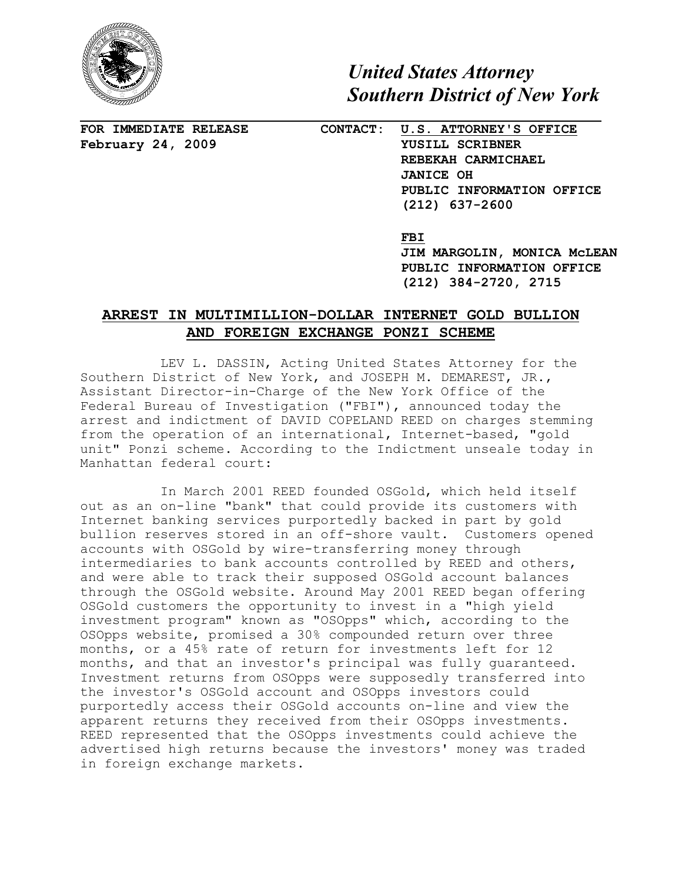

*United States Attorney Southern District of New York* 

**FOR IMMEDIATE RELEASE February 24, 2009** 

## **CONTACT: U.S. ATTORNEY'S OFFICE YUSILL SCRIBNER REBEKAH CARMICHAEL JANICE OH PUBLIC INFORMATION OFFICE (212) 637-2600**

 **FBI** 

**JIM MARGOLIN, MONICA McLEAN PUBLIC INFORMATION OFFICE (212) 384-2720, 2715** 

## **ARREST IN MULTIMILLION-DOLLAR INTERNET GOLD BULLION AND FOREIGN EXCHANGE PONZI SCHEME**

LEV L. DASSIN, Acting United States Attorney for the Southern District of New York, and JOSEPH M. DEMAREST, JR., Assistant Director-in-Charge of the New York Office of the Federal Bureau of Investigation ("FBI"), announced today the arrest and indictment of DAVID COPELAND REED on charges stemming from the operation of an international, Internet-based, "gold unit" Ponzi scheme. According to the Indictment unseale today in Manhattan federal court:

In March 2001 REED founded OSGold, which held itself out as an on-line "bank" that could provide its customers with Internet banking services purportedly backed in part by gold bullion reserves stored in an off-shore vault. Customers opened accounts with OSGold by wire-transferring money through intermediaries to bank accounts controlled by REED and others, and were able to track their supposed OSGold account balances through the OSGold website. Around May 2001 REED began offering OSGold customers the opportunity to invest in a "high yield investment program" known as "OSOpps" which, according to the OSOpps website, promised a 30% compounded return over three months, or a 45% rate of return for investments left for 12 months, and that an investor's principal was fully guaranteed. Investment returns from OSOpps were supposedly transferred into the investor's OSGold account and OSOpps investors could purportedly access their OSGold accounts on-line and view the apparent returns they received from their OSOpps investments. REED represented that the OSOpps investments could achieve the advertised high returns because the investors' money was traded in foreign exchange markets.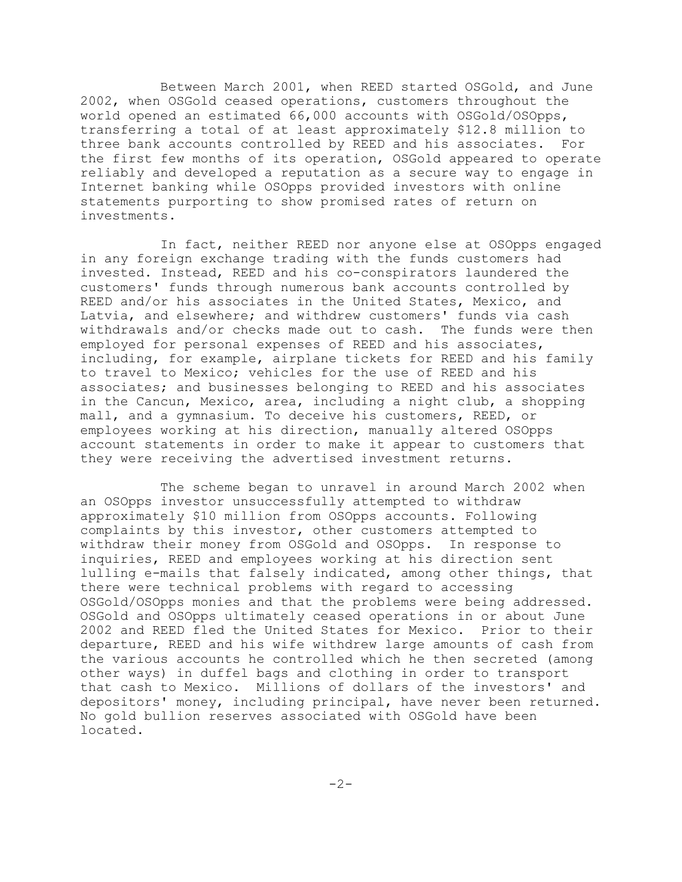Between March 2001, when REED started OSGold, and June 2002, when OSGold ceased operations, customers throughout the world opened an estimated 66,000 accounts with OSGold/OSOpps, transferring a total of at least approximately \$12.8 million to three bank accounts controlled by REED and his associates. For the first few months of its operation, OSGold appeared to operate reliably and developed a reputation as a secure way to engage in Internet banking while OSOpps provided investors with online statements purporting to show promised rates of return on investments.

In fact, neither REED nor anyone else at OSOpps engaged in any foreign exchange trading with the funds customers had invested. Instead, REED and his co-conspirators laundered the customers' funds through numerous bank accounts controlled by REED and/or his associates in the United States, Mexico, and Latvia, and elsewhere; and withdrew customers' funds via cash withdrawals and/or checks made out to cash. The funds were then employed for personal expenses of REED and his associates, including, for example, airplane tickets for REED and his family to travel to Mexico; vehicles for the use of REED and his associates; and businesses belonging to REED and his associates in the Cancun, Mexico, area, including a night club, a shopping mall, and a gymnasium. To deceive his customers, REED, or employees working at his direction, manually altered OSOpps account statements in order to make it appear to customers that they were receiving the advertised investment returns.

The scheme began to unravel in around March 2002 when an OSOpps investor unsuccessfully attempted to withdraw approximately \$10 million from OSOpps accounts. Following complaints by this investor, other customers attempted to withdraw their money from OSGold and OSOpps. In response to inquiries, REED and employees working at his direction sent lulling e-mails that falsely indicated, among other things, that there were technical problems with regard to accessing OSGold/OSOpps monies and that the problems were being addressed. OSGold and OSOpps ultimately ceased operations in or about June 2002 and REED fled the United States for Mexico. Prior to their departure, REED and his wife withdrew large amounts of cash from the various accounts he controlled which he then secreted (among other ways) in duffel bags and clothing in order to transport that cash to Mexico. Millions of dollars of the investors' and depositors' money, including principal, have never been returned. No gold bullion reserves associated with OSGold have been located.